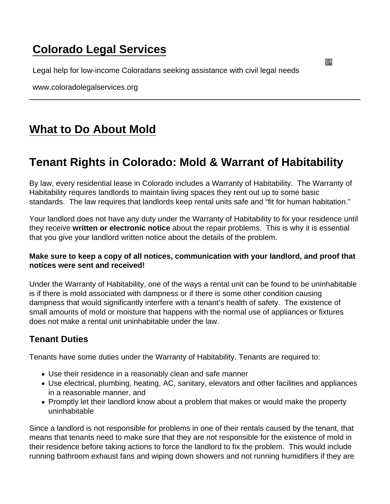## [Colorado Legal Services](https://www.coloradolegalservices.org/)

Legal help for low-income Coloradans seeking assistance with civil legal needs

www.coloradolegalservices.org

# [What to Do About Mold](https://www.coloradolegalservices.org/node/85/what-do-about-mold)

### Tenant Rights in Colorado: Mold & Warrant of Habitability

By law, every residential lease in Colorado includes a Warranty of Habitability. The Warranty of Habitability requires landlords to maintain living spaces they rent out up to some basic standards. The law requires that landlords keep rental units safe and "fit for human habitation."

Your landlord does not have any duty under the Warranty of Habitability to fix your residence until they receive written or electronic notice about the repair problems. This is why it is essential that you give your landlord written notice about the details of the problem.

Make sure to keep a copy of all notices, communication with your landlord, and proof that notices were sent and received!

Under the Warranty of Habitability, one of the ways a rental unit can be found to be uninhabitable is if there is mold associated with dampness or if there is some other condition causing dampness that would significantly interfere with a tenant's health of safety. The existence of small amounts of mold or moisture that happens with the normal use of appliances or fixtures does not make a rental unit uninhabitable under the law.

### Tenant Duties

Tenants have some duties under the Warranty of Habitability. Tenants are required to:

- Use their residence in a reasonably clean and safe manner
- Use electrical, plumbing, heating, AC, sanitary, elevators and other facilities and appliances in a reasonable manner, and
- Promptly let their landlord know about a problem that makes or would make the property uninhabitable

Since a landlord is not responsible for problems in one of their rentals caused by the tenant, that means that tenants need to make sure that they are not responsible for the existence of mold in their residence before taking actions to force the landlord to fix the problem. This would include running bathroom exhaust fans and wiping down showers and not running humidifiers if they are